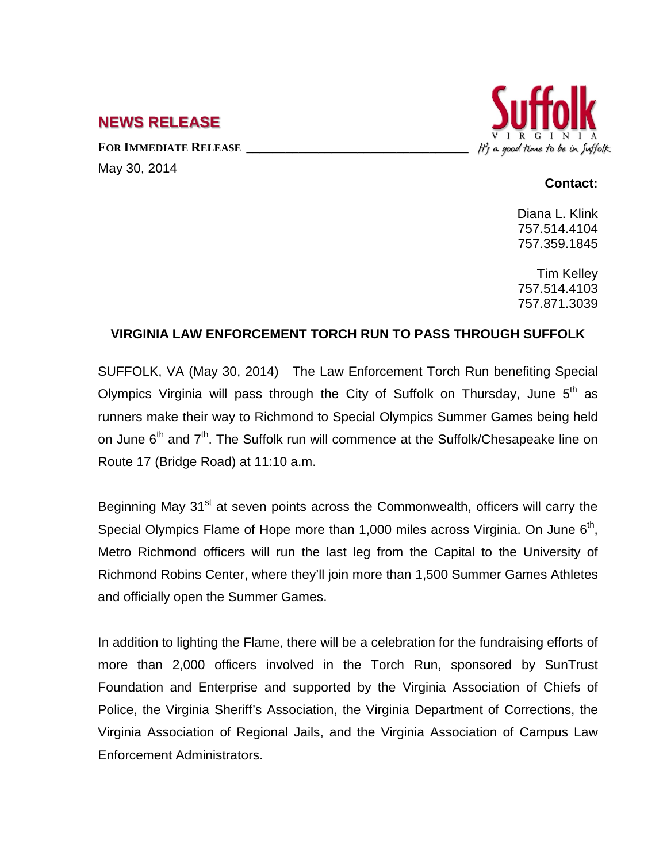## **NEWS RELEASE**

FOR **IMMEDIATE RELEASE** May 30, 2014



## **Contact:**

Diana L. Klink 757.514.4104 757.359.1845

Tim Kelley 757.514.4103 757.871.3039

## **VIRGINIA LAW ENFORCEMENT TORCH RUN TO PASS THROUGH SUFFOLK**

SUFFOLK, VA (May 30, 2014) The Law Enforcement Torch Run benefiting Special Olympics Virginia will pass through the City of Suffolk on Thursdav. June  $5<sup>th</sup>$  as runners make their way to Richmond to Special Olympics Summer Games being held on June  $6<sup>th</sup>$  and  $7<sup>th</sup>$ . The Suffolk run will commence at the Suffolk/Chesapeake line on Route 17 (Bridge Road) at 11:10 a.m.

Beginning May 31<sup>st</sup> at seven points across the Commonwealth, officers will carry the Special Olympics Flame of Hope more than 1,000 miles across Virginia. On June  $6<sup>th</sup>$ , Metro Richmond officers will run the last leg from the Capital to the University of Richmond Robins Center, where they'll join more than 1,500 Summer Games Athletes and officially open the Summer Games.

In addition to lighting the Flame, there will be a celebration for the fundraising efforts of more than 2,000 officers involved in the Torch Run, sponsored by SunTrust Foundation and Enterprise and supported by the Virginia Association of Chiefs of Police, the Virginia Sheriff's Association, the Virginia Department of Corrections, the Virginia Association of Regional Jails, and the Virginia Association of Campus Law Enforcement Administrators.